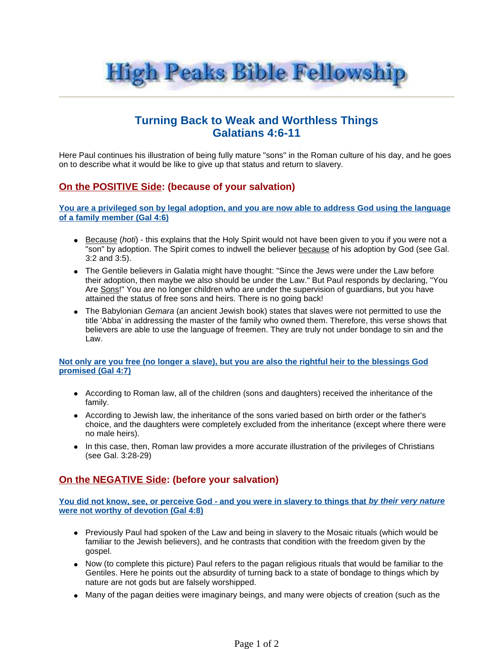

# **Turning Back to Weak and Worthless Things Galatians 4:6-11**

Here Paul continues his illustration of being fully mature "sons" in the Roman culture of his day, and he goes on to describe what it would be like to give up that status and return to slavery.

## **On the POSITIVE Side: (because of your salvation)**

**You are a privileged son by legal adoption, and you are now able to address God using the language of a family member (Gal 4:6)**

- **Because (hoti)** this explains that the Holy Spirit would not have been given to you if you were not a "son" by adoption. The Spirit comes to indwell the believer because of his adoption by God (see Gal. 3:2 and 3:5).
- The Gentile believers in Galatia might have thought: "Since the Jews were under the Law before their adoption, then maybe we also should be under the Law." But Paul responds by declaring, "You Are Sons!" You are no longer children who are under the supervision of guardians, but you have attained the status of free sons and heirs. There is no going back!
- The Babylonian Gemara (an ancient Jewish book) states that slaves were not permitted to use the title 'Abba' in addressing the master of the family who owned them. Therefore, this verse shows that believers are able to use the language of freemen. They are truly not under bondage to sin and the Law.

### **Not only are you free (no longer a slave), but you are also the rightful heir to the blessings God promised (Gal 4:7)**

- According to Roman law, all of the children (sons and daughters) received the inheritance of the family.
- According to Jewish law, the inheritance of the sons varied based on birth order or the father's choice, and the daughters were completely excluded from the inheritance (except where there were no male heirs).
- In this case, then, Roman law provides a more accurate illustration of the privileges of Christians (see Gal. 3:28-29)

## **On the NEGATIVE Side: (before your salvation)**

**You did not know, see, or perceive God - and you were in slavery to things that by their very nature were not worthy of devotion (Gal 4:8)**

- Previously Paul had spoken of the Law and being in slavery to the Mosaic rituals (which would be familiar to the Jewish believers), and he contrasts that condition with the freedom given by the gospel.
- Now (to complete this picture) Paul refers to the pagan religious rituals that would be familiar to the Gentiles. Here he points out the absurdity of turning back to a state of bondage to things which by nature are not gods but are falsely worshipped.
- Many of the pagan deities were imaginary beings, and many were objects of creation (such as the